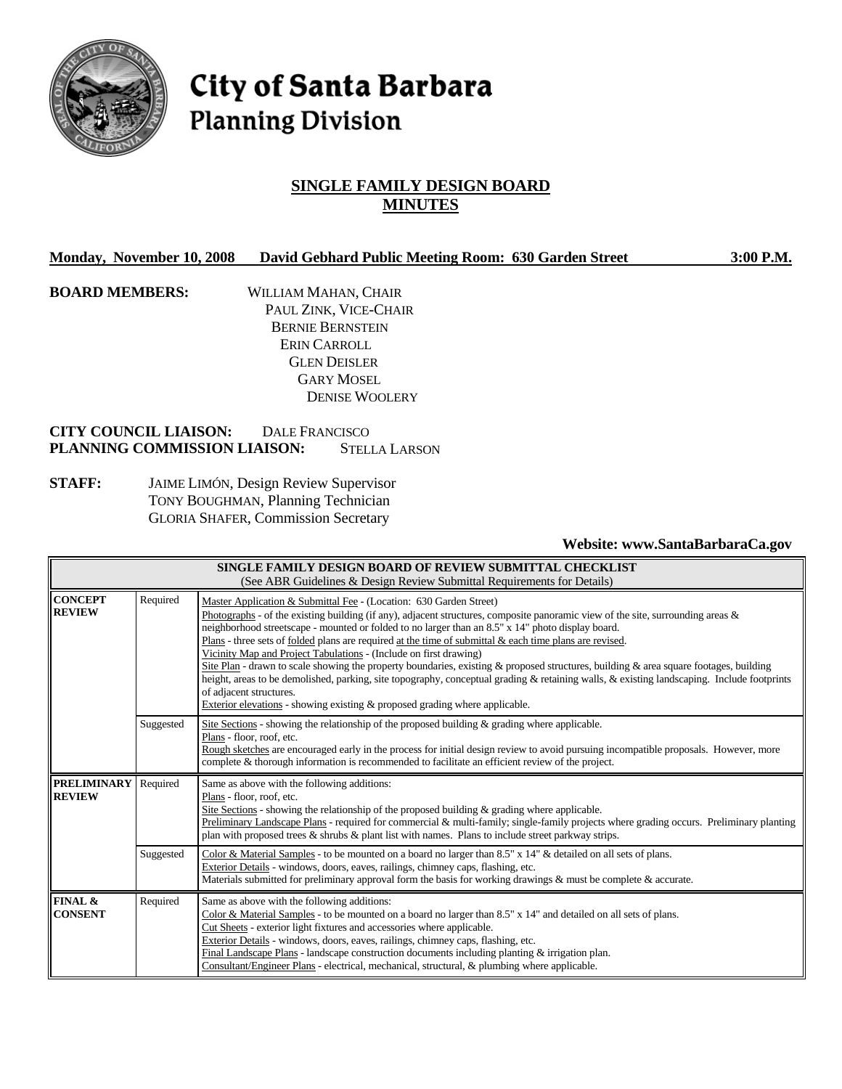

# City of Santa Barbara **Planning Division**

# **SINGLE FAMILY DESIGN BOARD MINUTES**

| <b>Monday, November 10, 2008</b> | David Gebhard Public Meeting Room: 630 Garden Street |  | 3:00 P.M. |
|----------------------------------|------------------------------------------------------|--|-----------|
|----------------------------------|------------------------------------------------------|--|-----------|

**BOARD MEMBERS:** WILLIAM MAHAN, CHAIR PAUL ZINK, VICE-CHAIR BERNIE BERNSTEIN ERIN CARROLL GLEN DEISLER GARY MOSEL DENISE WOOLERY

# **CITY COUNCIL LIAISON:** DALE FRANCISCO **PLANNING COMMISSION LIAISON:** STELLA LARSON

**STAFF:** JAIME LIMÓN, Design Review Supervisor TONY BOUGHMAN, Planning Technician GLORIA SHAFER, Commission Secretary

**Website: www.SantaBarbaraCa.gov** 

| SINGLE FAMILY DESIGN BOARD OF REVIEW SUBMITTAL CHECKLIST<br>(See ABR Guidelines & Design Review Submittal Requirements for Details) |                                                                                                                                                                                                                                                                                                                                                                                                                                                                                                                                                                                                                                                                                                                                                                                                                                                                                                               |                                                                                                                                                                                                                                                                                                                                                                                                                                                                                                                                   |
|-------------------------------------------------------------------------------------------------------------------------------------|---------------------------------------------------------------------------------------------------------------------------------------------------------------------------------------------------------------------------------------------------------------------------------------------------------------------------------------------------------------------------------------------------------------------------------------------------------------------------------------------------------------------------------------------------------------------------------------------------------------------------------------------------------------------------------------------------------------------------------------------------------------------------------------------------------------------------------------------------------------------------------------------------------------|-----------------------------------------------------------------------------------------------------------------------------------------------------------------------------------------------------------------------------------------------------------------------------------------------------------------------------------------------------------------------------------------------------------------------------------------------------------------------------------------------------------------------------------|
| <b>CONCEPT</b><br><b>REVIEW</b>                                                                                                     | Required<br>Master Application & Submittal Fee - (Location: 630 Garden Street)<br>Photographs - of the existing building (if any), adjacent structures, composite panoramic view of the site, surrounding areas $\&$<br>neighborhood streetscape - mounted or folded to no larger than an 8.5" x 14" photo display board.<br>Plans - three sets of folded plans are required at the time of submittal & each time plans are revised.<br>Vicinity Map and Project Tabulations - (Include on first drawing)<br>Site Plan - drawn to scale showing the property boundaries, existing & proposed structures, building & area square footages, building<br>height, areas to be demolished, parking, site topography, conceptual grading & retaining walls, & existing landscaping. Include footprints<br>of adjacent structures.<br>Exterior elevations - showing existing $\&$ proposed grading where applicable. |                                                                                                                                                                                                                                                                                                                                                                                                                                                                                                                                   |
|                                                                                                                                     | Suggested                                                                                                                                                                                                                                                                                                                                                                                                                                                                                                                                                                                                                                                                                                                                                                                                                                                                                                     | Site Sections - showing the relationship of the proposed building $\&$ grading where applicable.<br>Plans - floor, roof, etc.<br>Rough sketches are encouraged early in the process for initial design review to avoid pursuing incompatible proposals. However, more<br>complete & thorough information is recommended to facilitate an efficient review of the project.                                                                                                                                                         |
| <b>PRELIMINARY</b><br><b>REVIEW</b>                                                                                                 | Required<br>Same as above with the following additions:<br>Plans - floor, roof, etc.<br>Site Sections - showing the relationship of the proposed building $\&$ grading where applicable.<br>Preliminary Landscape Plans - required for commercial & multi-family; single-family projects where grading occurs. Preliminary planting<br>plan with proposed trees $\&$ shrubs $\&$ plant list with names. Plans to include street parkway strips.                                                                                                                                                                                                                                                                                                                                                                                                                                                               |                                                                                                                                                                                                                                                                                                                                                                                                                                                                                                                                   |
|                                                                                                                                     | Suggested                                                                                                                                                                                                                                                                                                                                                                                                                                                                                                                                                                                                                                                                                                                                                                                                                                                                                                     | Color & Material Samples - to be mounted on a board no larger than 8.5" x 14" & detailed on all sets of plans.<br>Exterior Details - windows, doors, eaves, railings, chimney caps, flashing, etc.<br>Materials submitted for preliminary approval form the basis for working drawings $\&$ must be complete $\&$ accurate.                                                                                                                                                                                                       |
| FINAL &<br><b>CONSENT</b>                                                                                                           | Required                                                                                                                                                                                                                                                                                                                                                                                                                                                                                                                                                                                                                                                                                                                                                                                                                                                                                                      | Same as above with the following additions:<br>Color & Material Samples - to be mounted on a board no larger than 8.5" x 14" and detailed on all sets of plans.<br>Cut Sheets - exterior light fixtures and accessories where applicable.<br>Exterior Details - windows, doors, eaves, railings, chimney caps, flashing, etc.<br>Final Landscape Plans - landscape construction documents including planting $&$ irrigation plan.<br>Consultant/Engineer Plans - electrical, mechanical, structural, & plumbing where applicable. |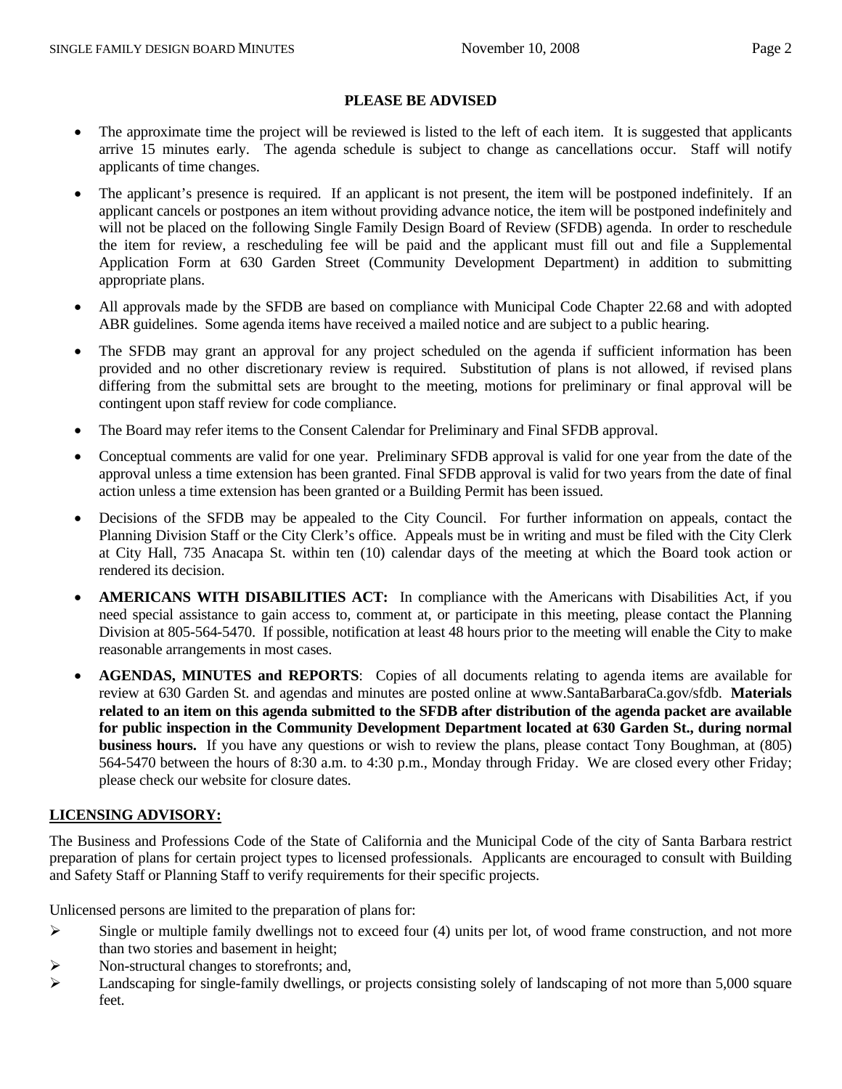#### **PLEASE BE ADVISED**

- The approximate time the project will be reviewed is listed to the left of each item. It is suggested that applicants arrive 15 minutes early. The agenda schedule is subject to change as cancellations occur. Staff will notify applicants of time changes.
- The applicant's presence is required. If an applicant is not present, the item will be postponed indefinitely. If an applicant cancels or postpones an item without providing advance notice, the item will be postponed indefinitely and will not be placed on the following Single Family Design Board of Review (SFDB) agenda. In order to reschedule the item for review, a rescheduling fee will be paid and the applicant must fill out and file a Supplemental Application Form at 630 Garden Street (Community Development Department) in addition to submitting appropriate plans.
- All approvals made by the SFDB are based on compliance with Municipal Code Chapter 22.68 and with adopted ABR guidelines. Some agenda items have received a mailed notice and are subject to a public hearing.
- The SFDB may grant an approval for any project scheduled on the agenda if sufficient information has been provided and no other discretionary review is required. Substitution of plans is not allowed, if revised plans differing from the submittal sets are brought to the meeting, motions for preliminary or final approval will be contingent upon staff review for code compliance.
- The Board may refer items to the Consent Calendar for Preliminary and Final SFDB approval.
- Conceptual comments are valid for one year. Preliminary SFDB approval is valid for one year from the date of the approval unless a time extension has been granted. Final SFDB approval is valid for two years from the date of final action unless a time extension has been granted or a Building Permit has been issued.
- Decisions of the SFDB may be appealed to the City Council. For further information on appeals, contact the Planning Division Staff or the City Clerk's office. Appeals must be in writing and must be filed with the City Clerk at City Hall, 735 Anacapa St. within ten (10) calendar days of the meeting at which the Board took action or rendered its decision.
- **AMERICANS WITH DISABILITIES ACT:** In compliance with the Americans with Disabilities Act, if you need special assistance to gain access to, comment at, or participate in this meeting, please contact the Planning Division at 805-564-5470. If possible, notification at least 48 hours prior to the meeting will enable the City to make reasonable arrangements in most cases.
- **AGENDAS, MINUTES and REPORTS**: Copies of all documents relating to agenda items are available for review at 630 Garden St. and agendas and minutes are posted online at www.SantaBarbaraCa.gov/sfdb. **Materials related to an item on this agenda submitted to the SFDB after distribution of the agenda packet are available for public inspection in the Community Development Department located at 630 Garden St., during normal business hours.** If you have any questions or wish to review the plans, please contact Tony Boughman, at (805) 564-5470 between the hours of 8:30 a.m. to 4:30 p.m., Monday through Friday. We are closed every other Friday; please check our website for closure dates.

#### **LICENSING ADVISORY:**

The Business and Professions Code of the State of California and the Municipal Code of the city of Santa Barbara restrict preparation of plans for certain project types to licensed professionals. Applicants are encouraged to consult with Building and Safety Staff or Planning Staff to verify requirements for their specific projects.

Unlicensed persons are limited to the preparation of plans for:

- $\triangleright$  Single or multiple family dwellings not to exceed four (4) units per lot, of wood frame construction, and not more than two stories and basement in height;
- ¾ Non-structural changes to storefronts; and,
- ¾ Landscaping for single-family dwellings, or projects consisting solely of landscaping of not more than 5,000 square feet.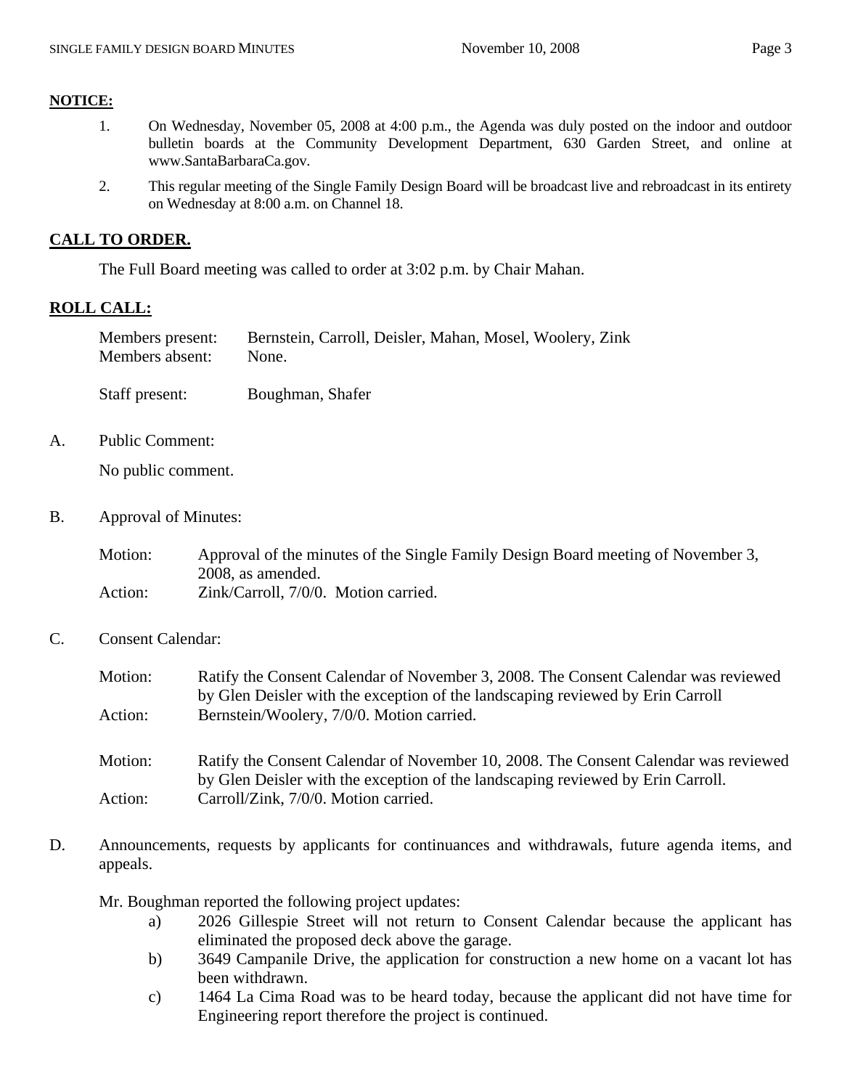#### **NOTICE:**

- 1. On Wednesday, November 05, 2008 at 4:00 p.m., the Agenda was duly posted on the indoor and outdoor bulletin boards at the Community Development Department, 630 Garden Street, and online at www.SantaBarbaraCa.gov.
- 2. This regular meeting of the Single Family Design Board will be broadcast live and rebroadcast in its entirety on Wednesday at 8:00 a.m. on Channel 18.

## **CALL TO ORDER.**

The Full Board meeting was called to order at 3:02 p.m. by Chair Mahan.

# **ROLL CALL:**

| Members present: | Bernstein, Carroll, Deisler, Mahan, Mosel, Woolery, Zink |
|------------------|----------------------------------------------------------|
| Members absent:  | None.                                                    |

Staff present: Boughman, Shafer

A. Public Comment:

No public comment.

B. Approval of Minutes:

| Motion: | Approval of the minutes of the Single Family Design Board meeting of November 3, |
|---------|----------------------------------------------------------------------------------|
|         | 2008, as amended.                                                                |
| Action: | Zink/Carroll, 7/0/0. Motion carried.                                             |

C. Consent Calendar:

| Motion:                                              | Ratify the Consent Calendar of November 3, 2008. The Consent Calendar was reviewed  |
|------------------------------------------------------|-------------------------------------------------------------------------------------|
|                                                      | by Glen Deisler with the exception of the landscaping reviewed by Erin Carroll      |
| Bernstein/Woolery, 7/0/0. Motion carried.<br>Action: |                                                                                     |
| Motion:                                              | Ratify the Consent Calendar of November 10, 2008. The Consent Calendar was reviewed |
|                                                      | by Glen Deisler with the exception of the landscaping reviewed by Erin Carroll.     |
| Action:                                              | Carroll/Zink, 7/0/0. Motion carried.                                                |

D. Announcements, requests by applicants for continuances and withdrawals, future agenda items, and appeals.

Mr. Boughman reported the following project updates:

- a) 2026 Gillespie Street will not return to Consent Calendar because the applicant has eliminated the proposed deck above the garage.
- b) 3649 Campanile Drive, the application for construction a new home on a vacant lot has been withdrawn.
- c) 1464 La Cima Road was to be heard today, because the applicant did not have time for Engineering report therefore the project is continued.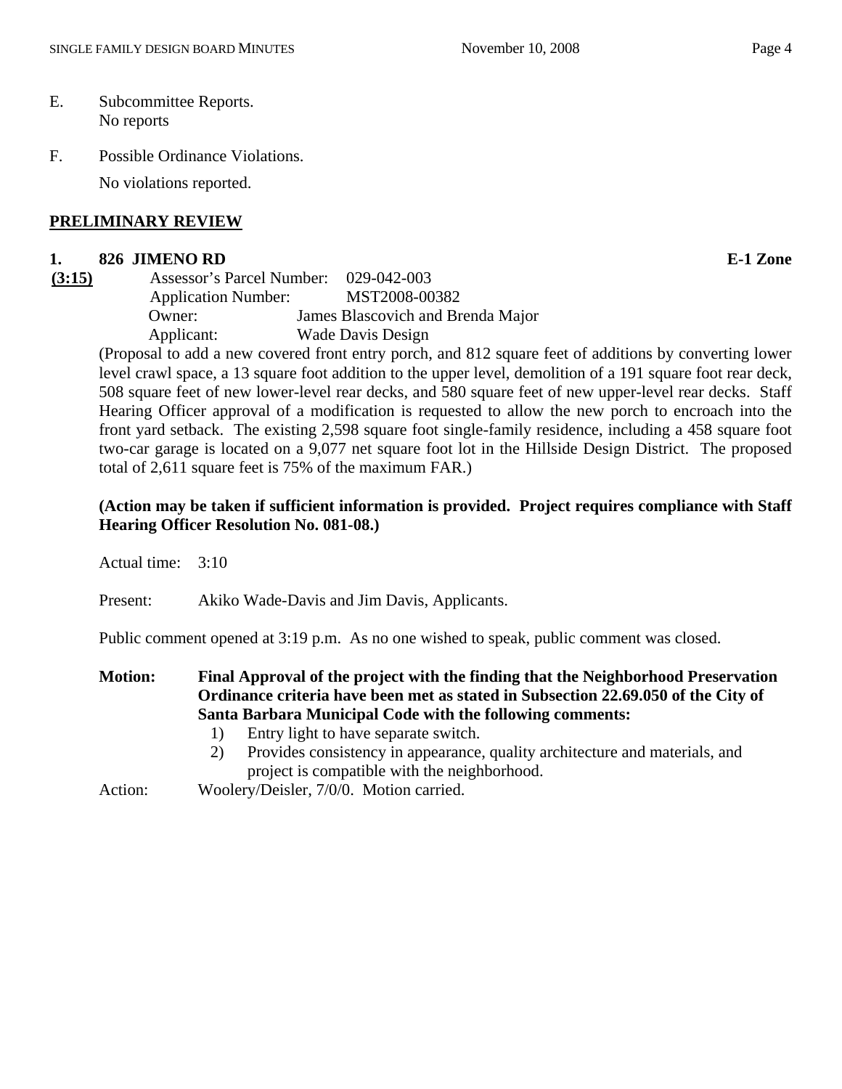F. Possible Ordinance Violations.

No violations reported.

## **PRELIMINARY REVIEW**

#### **1. 826 JIMENO RD E-1 Zone**

**(3:15)** Assessor's Parcel Number: 029-042-003 Application Number: MST2008-00382 Owner: James Blascovich and Brenda Major Applicant: Wade Davis Design

(Proposal to add a new covered front entry porch, and 812 square feet of additions by converting lower level crawl space, a 13 square foot addition to the upper level, demolition of a 191 square foot rear deck, 508 square feet of new lower-level rear decks, and 580 square feet of new upper-level rear decks. Staff Hearing Officer approval of a modification is requested to allow the new porch to encroach into the front yard setback. The existing 2,598 square foot single-family residence, including a 458 square foot two-car garage is located on a 9,077 net square foot lot in the Hillside Design District. The proposed total of 2,611 square feet is 75% of the maximum FAR.)

# **(Action may be taken if sufficient information is provided. Project requires compliance with Staff Hearing Officer Resolution No. 081-08.)**

Actual time: 3:10

Present: Akiko Wade-Davis and Jim Davis, Applicants.

Public comment opened at 3:19 p.m. As no one wished to speak, public comment was closed.

**Motion: Final Approval of the project with the finding that the Neighborhood Preservation Ordinance criteria have been met as stated in Subsection 22.69.050 of the City of Santa Barbara Municipal Code with the following comments:** 

- 1) Entry light to have separate switch.
- 2) Provides consistency in appearance, quality architecture and materials, and project is compatible with the neighborhood.

Action: Woolery/Deisler, 7/0/0. Motion carried.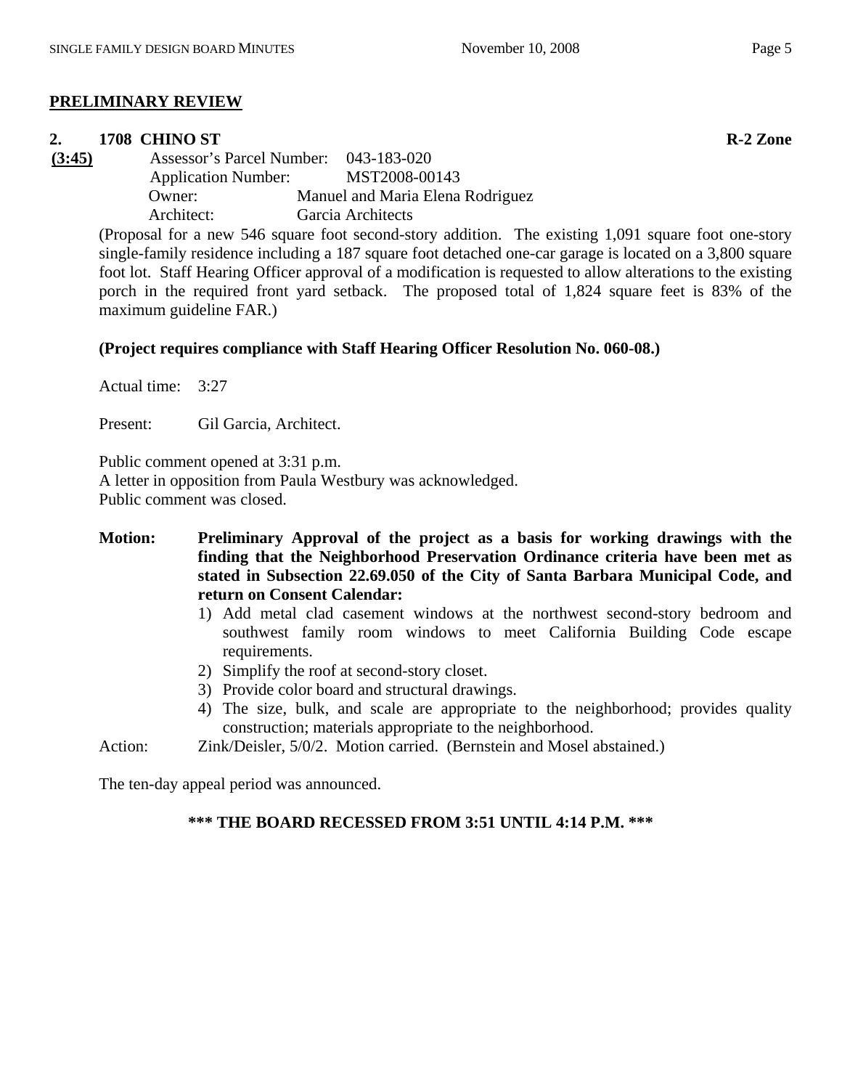## **PRELIMINARY REVIEW**

#### **2. 1708 CHINO ST R-2 Zone**

**(3:45)** Assessor's Parcel Number: 043-183-020 Application Number: MST2008-00143 Owner: Manuel and Maria Elena Rodriguez Architect: Garcia Architects

(Proposal for a new 546 square foot second-story addition. The existing 1,091 square foot one-story single-family residence including a 187 square foot detached one-car garage is located on a 3,800 square foot lot. Staff Hearing Officer approval of a modification is requested to allow alterations to the existing porch in the required front yard setback. The proposed total of 1,824 square feet is 83% of the maximum guideline FAR.)

## **(Project requires compliance with Staff Hearing Officer Resolution No. 060-08.)**

Actual time: 3:27

Present: Gil Garcia, Architect.

Public comment opened at 3:31 p.m.

A letter in opposition from Paula Westbury was acknowledged.

Public comment was closed.

- **Motion: Preliminary Approval of the project as a basis for working drawings with the finding that the Neighborhood Preservation Ordinance criteria have been met as stated in Subsection 22.69.050 of the City of Santa Barbara Municipal Code, and return on Consent Calendar:** 
	- 1) Add metal clad casement windows at the northwest second-story bedroom and southwest family room windows to meet California Building Code escape requirements.
	- 2) Simplify the roof at second-story closet.
	- 3) Provide color board and structural drawings.
	- 4) The size, bulk, and scale are appropriate to the neighborhood; provides quality construction; materials appropriate to the neighborhood.

Action: Zink/Deisler, 5/0/2. Motion carried. (Bernstein and Mosel abstained.)

The ten-day appeal period was announced.

## **\*\*\* THE BOARD RECESSED FROM 3:51 UNTIL 4:14 P.M. \*\*\***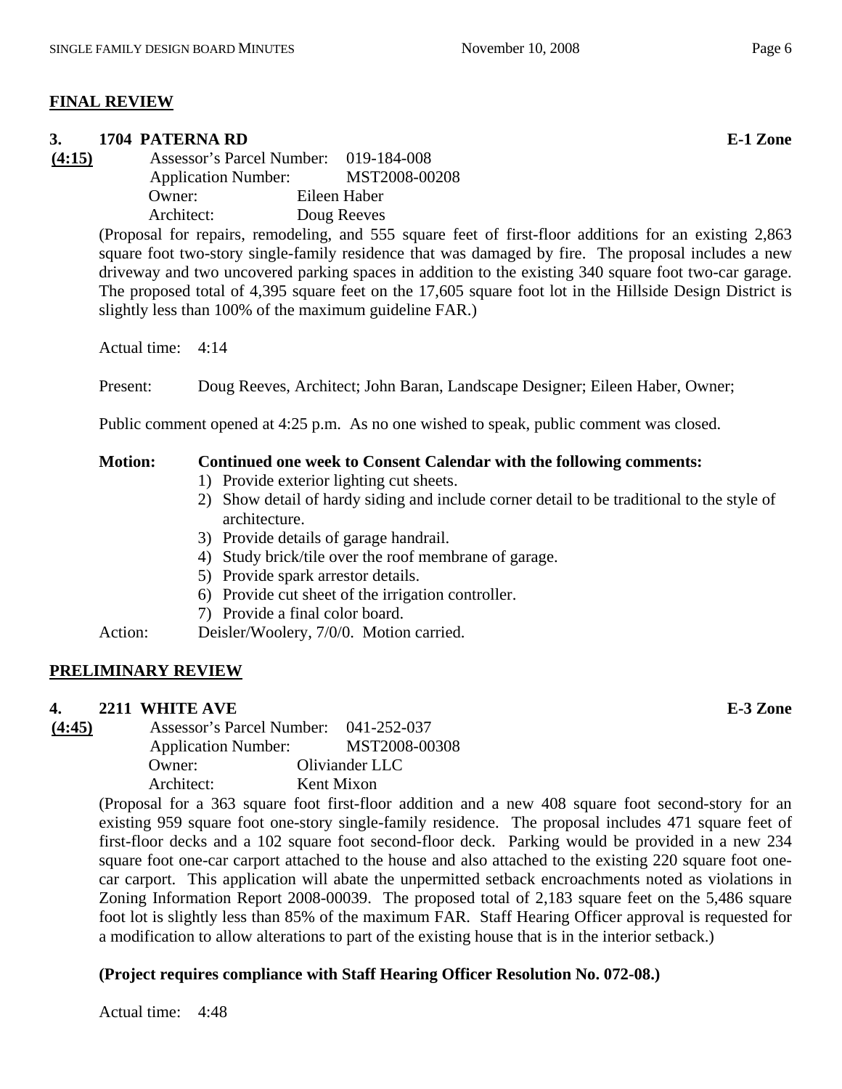# **FINAL REVIEW**

# **3. 1704 PATERNA RD E-1 Zone (4:15)** Assessor's Parcel Number: 019-184-008 Application Number: MST2008-00208 Owner: Eileen Haber Architect: Doug Reeves (Proposal for repairs, remodeling, and 555 square feet of first-floor additions for an existing 2,863 square foot two-story single-family residence that was damaged by fire. The proposal includes a new driveway and two uncovered parking spaces in addition to the existing 340 square foot two-car garage. The proposed total of 4,395 square feet on the 17,605 square foot lot in the Hillside Design District is slightly less than 100% of the maximum guideline FAR.) Actual time: 4:14 Present: Doug Reeves, Architect; John Baran, Landscape Designer; Eileen Haber, Owner; Public comment opened at 4:25 p.m. As no one wished to speak, public comment was closed. **Motion: Continued one week to Consent Calendar with the following comments:**  1) Provide exterior lighting cut sheets. 2) Show detail of hardy siding and include corner detail to be traditional to the style of architecture. 3) Provide details of garage handrail. 4) Study brick/tile over the roof membrane of garage. 5) Provide spark arrestor details. 6) Provide cut sheet of the irrigation controller. 7) Provide a final color board. Action: Deisler/Woolery, 7/0/0. Motion carried. **PRELIMINARY REVIEW 4. 2211 WHITE AVE E-3 Zone (4:45)** Assessor's Parcel Number: 041-252-037 Application Number: MST2008-00308 Owner: Oliviander LLC Architect: Kent Mixon (Proposal for a 363 square foot first-floor addition and a new 408 square foot second-story for an existing 959 square foot one-story single-family residence. The proposal includes 471 square feet of first-floor decks and a 102 square foot second-floor deck. Parking would be provided in a new 234 square foot one-car carport attached to the house and also attached to the existing 220 square foot one-

car carport. This application will abate the unpermitted setback encroachments noted as violations in Zoning Information Report 2008-00039. The proposed total of 2,183 square feet on the 5,486 square foot lot is slightly less than 85% of the maximum FAR. Staff Hearing Officer approval is requested for a modification to allow alterations to part of the existing house that is in the interior setback.)

# **(Project requires compliance with Staff Hearing Officer Resolution No. 072-08.)**

Actual time: 4:48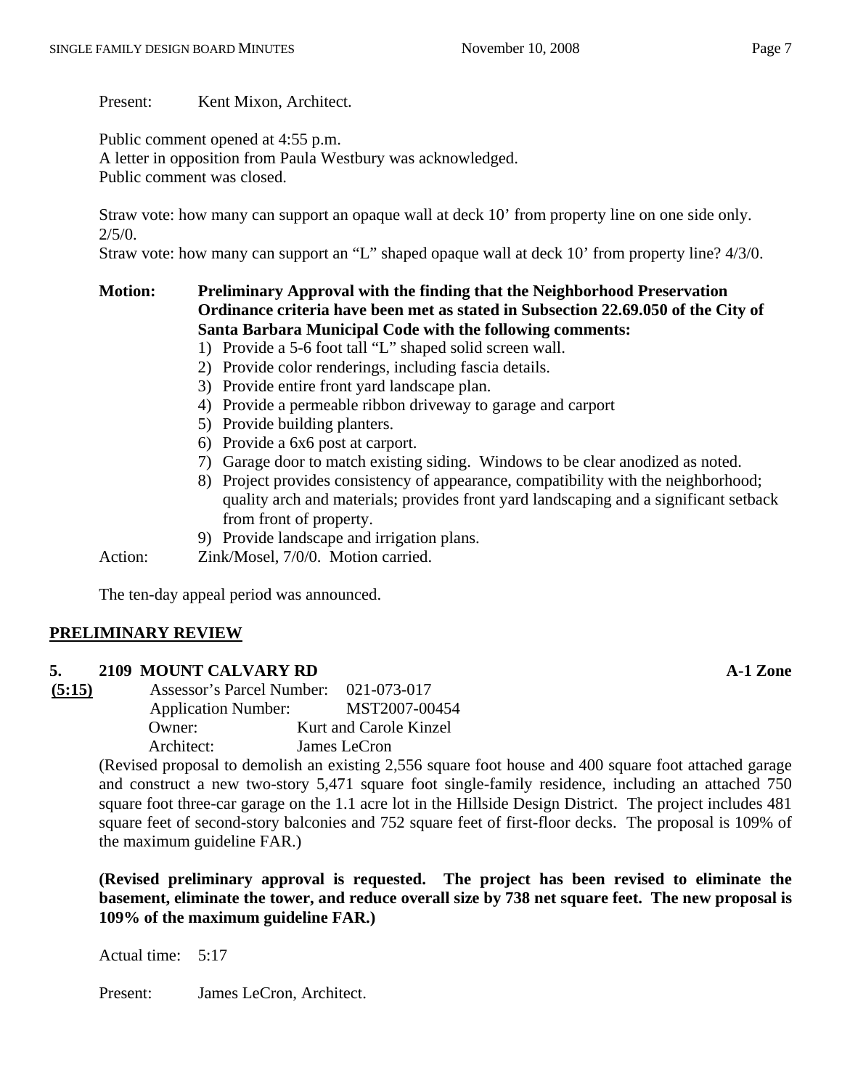Present: Kent Mixon, Architect.

Public comment opened at 4:55 p.m.

A letter in opposition from Paula Westbury was acknowledged. Public comment was closed.

Straw vote: how many can support an opaque wall at deck 10' from property line on one side only.  $2/5/0.$ 

Straw vote: how many can support an "L" shaped opaque wall at deck 10' from property line? 4/3/0.

# **Motion: Preliminary Approval with the finding that the Neighborhood Preservation Ordinance criteria have been met as stated in Subsection 22.69.050 of the City of Santa Barbara Municipal Code with the following comments:**

- 1) Provide a 5-6 foot tall "L" shaped solid screen wall.
- 2) Provide color renderings, including fascia details.
- 3) Provide entire front yard landscape plan.
- 4) Provide a permeable ribbon driveway to garage and carport
- 5) Provide building planters.
- 6) Provide a 6x6 post at carport.
- 7) Garage door to match existing siding. Windows to be clear anodized as noted.
- 8) Project provides consistency of appearance, compatibility with the neighborhood; quality arch and materials; provides front yard landscaping and a significant setback from front of property.
- 9) Provide landscape and irrigation plans.

Action: Zink/Mosel, 7/0/0. Motion carried.

The ten-day appeal period was announced.

## **PRELIMINARY REVIEW**

#### **5. 2109 MOUNT CALVARY RD A-1 Zone**

| (5:15) | Assessor's Parcel Number:  | 021-073-017            |
|--------|----------------------------|------------------------|
|        | <b>Application Number:</b> | MST2007-00454          |
|        | Owner:                     | Kurt and Carole Kinzel |
|        | Architect:                 | James LeCron           |

(Revised proposal to demolish an existing 2,556 square foot house and 400 square foot attached garage and construct a new two-story 5,471 square foot single-family residence, including an attached 750 square foot three-car garage on the 1.1 acre lot in the Hillside Design District. The project includes 481 square feet of second-story balconies and 752 square feet of first-floor decks. The proposal is 109% of the maximum guideline FAR.)

**(Revised preliminary approval is requested. The project has been revised to eliminate the basement, eliminate the tower, and reduce overall size by 738 net square feet. The new proposal is 109% of the maximum guideline FAR.)** 

Actual time: 5:17

Present: James LeCron, Architect.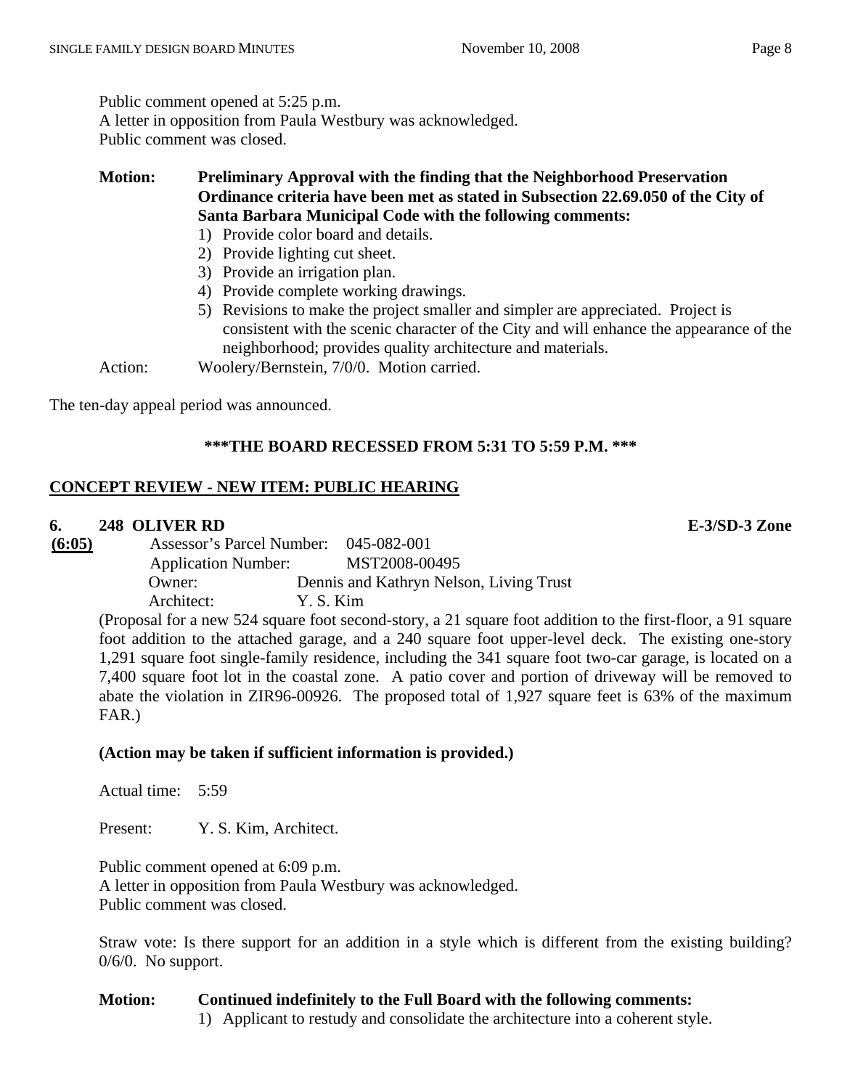Public comment opened at 5:25 p.m. A letter in opposition from Paula Westbury was acknowledged. Public comment was closed.

**Motion: Preliminary Approval with the finding that the Neighborhood Preservation Ordinance criteria have been met as stated in Subsection 22.69.050 of the City of Santa Barbara Municipal Code with the following comments:** 

- 1) Provide color board and details.
- 2) Provide lighting cut sheet.
- 3) Provide an irrigation plan.
- 4) Provide complete working drawings.
- 5) Revisions to make the project smaller and simpler are appreciated. Project is consistent with the scenic character of the City and will enhance the appearance of the neighborhood; provides quality architecture and materials.

Action: Woolery/Bernstein, 7/0/0. Motion carried.

The ten-day appeal period was announced.

# **\*\*\*THE BOARD RECESSED FROM 5:31 TO 5:59 P.M. \*\*\***

# **CONCEPT REVIEW - NEW ITEM: PUBLIC HEARING**

#### **6. 248 OLIVER RD E-3/SD-3 Zone**

**(6:05)** Assessor's Parcel Number: 045-082-001 Application Number: MST2008-00495 Owner: Dennis and Kathryn Nelson, Living Trust Architect: Y. S. Kim

(Proposal for a new 524 square foot second-story, a 21 square foot addition to the first-floor, a 91 square foot addition to the attached garage, and a 240 square foot upper-level deck. The existing one-story 1,291 square foot single-family residence, including the 341 square foot two-car garage, is located on a 7,400 square foot lot in the coastal zone. A patio cover and portion of driveway will be removed to abate the violation in ZIR96-00926. The proposed total of 1,927 square feet is 63% of the maximum FAR.)

## **(Action may be taken if sufficient information is provided.)**

Actual time: 5:59

Present: Y. S. Kim, Architect.

Public comment opened at 6:09 p.m. A letter in opposition from Paula Westbury was acknowledged. Public comment was closed.

Straw vote: Is there support for an addition in a style which is different from the existing building? 0/6/0. No support.

## **Motion: Continued indefinitely to the Full Board with the following comments:**

1) Applicant to restudy and consolidate the architecture into a coherent style.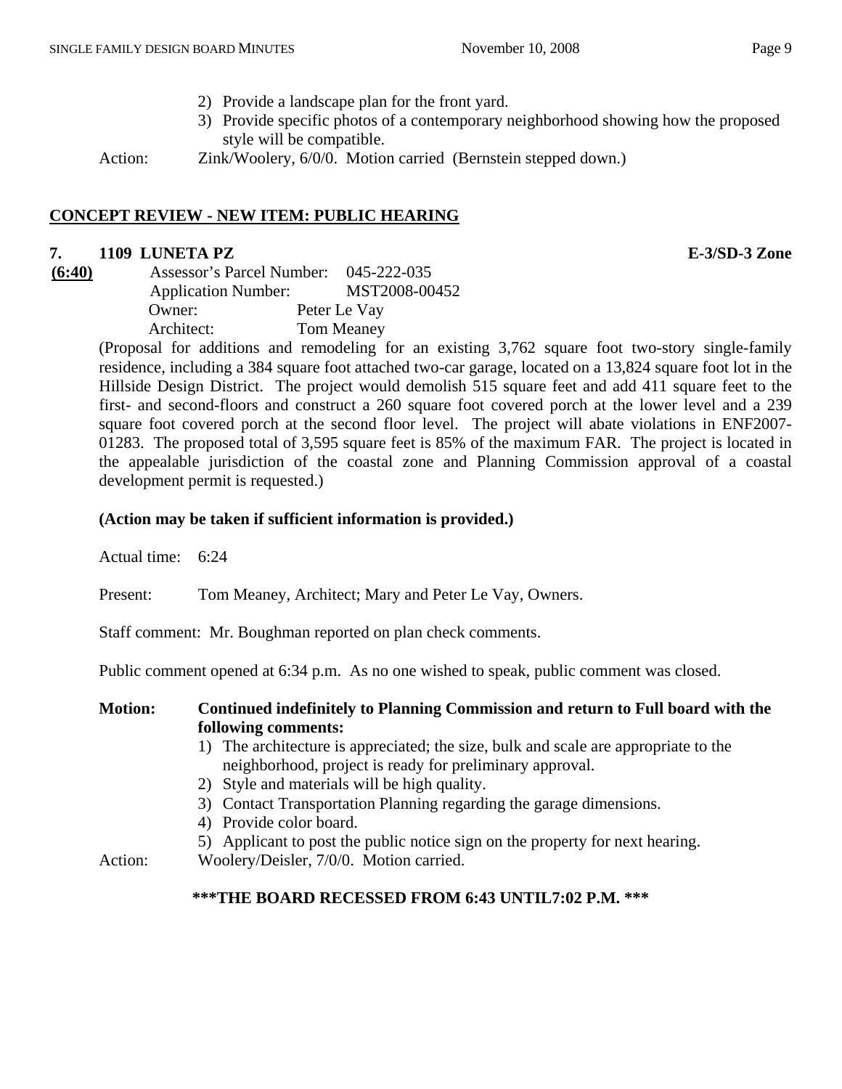3) Provide specific photos of a contemporary neighborhood showing how the proposed style will be compatible.

Action: *Zink/Woolery, 6/0/0. Motion carried (Bernstein stepped down.)* 

# **CONCEPT REVIEW - NEW ITEM: PUBLIC HEARING**

# **7. 1109 LUNETA PZ E-3/SD-3 Zone**

**(6:40)** Assessor's Parcel Number: 045-222-035 Application Number: MST2008-00452 Owner: Peter Le Vay Architect: Tom Meaney

(Proposal for additions and remodeling for an existing 3,762 square foot two-story single-family residence, including a 384 square foot attached two-car garage, located on a 13,824 square foot lot in the Hillside Design District. The project would demolish 515 square feet and add 411 square feet to the first- and second-floors and construct a 260 square foot covered porch at the lower level and a 239 square foot covered porch at the second floor level. The project will abate violations in ENF2007- 01283. The proposed total of 3,595 square feet is 85% of the maximum FAR. The project is located in the appealable jurisdiction of the coastal zone and Planning Commission approval of a coastal development permit is requested.)

# **(Action may be taken if sufficient information is provided.)**

Actual time: 6:24

Present: Tom Meaney, Architect; Mary and Peter Le Vay, Owners.

Staff comment: Mr. Boughman reported on plan check comments.

Public comment opened at 6:34 p.m. As no one wished to speak, public comment was closed.

# **Motion: Continued indefinitely to Planning Commission and return to Full board with the following comments:**

- 1) The architecture is appreciated; the size, bulk and scale are appropriate to the neighborhood, project is ready for preliminary approval.
- 2) Style and materials will be high quality.
- 3) Contact Transportation Planning regarding the garage dimensions.
- 4) Provide color board.
- 5) Applicant to post the public notice sign on the property for next hearing.
- Action: Woolery/Deisler, 7/0/0. Motion carried.

## **\*\*\*THE BOARD RECESSED FROM 6:43 UNTIL7:02 P.M. \*\*\***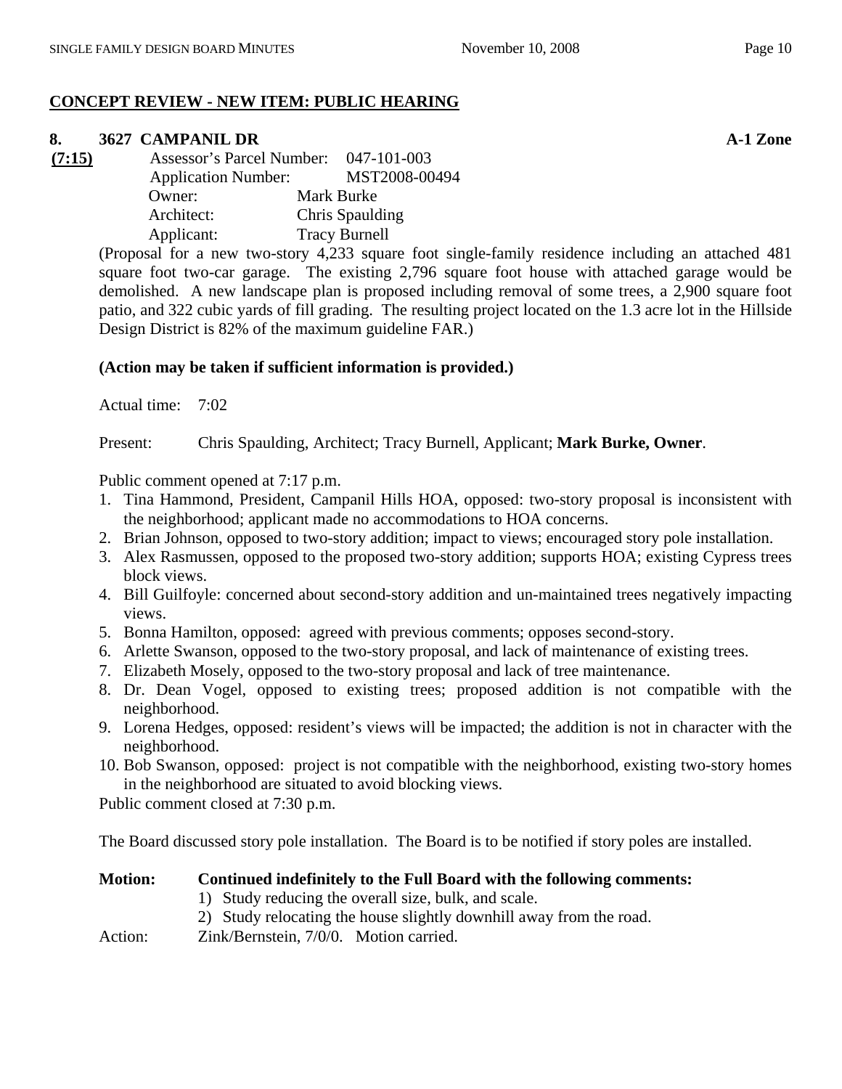# **CONCEPT REVIEW - NEW ITEM: PUBLIC HEARING**

# **8. 3627 CAMPANIL DR A-1 Zone**

**(7:15)** Assessor's Parcel Number: 047-101-003 Application Number: MST2008-00494 Owner: Mark Burke Architect: Chris Spaulding Applicant: Tracy Burnell

> (Proposal for a new two-story 4,233 square foot single-family residence including an attached 481 square foot two-car garage. The existing 2,796 square foot house with attached garage would be demolished. A new landscape plan is proposed including removal of some trees, a 2,900 square foot patio, and 322 cubic yards of fill grading. The resulting project located on the 1.3 acre lot in the Hillside Design District is 82% of the maximum guideline FAR.)

# **(Action may be taken if sufficient information is provided.)**

Actual time: 7:02

Present: Chris Spaulding, Architect; Tracy Burnell, Applicant; **Mark Burke, Owner**.

Public comment opened at 7:17 p.m.

- 1. Tina Hammond, President, Campanil Hills HOA, opposed: two-story proposal is inconsistent with the neighborhood; applicant made no accommodations to HOA concerns.
- 2. Brian Johnson, opposed to two-story addition; impact to views; encouraged story pole installation.
- 3. Alex Rasmussen, opposed to the proposed two-story addition; supports HOA; existing Cypress trees block views.
- 4. Bill Guilfoyle: concerned about second-story addition and un-maintained trees negatively impacting views.
- 5. Bonna Hamilton, opposed: agreed with previous comments; opposes second-story.
- 6. Arlette Swanson, opposed to the two-story proposal, and lack of maintenance of existing trees.
- 7. Elizabeth Mosely, opposed to the two-story proposal and lack of tree maintenance.
- 8. Dr. Dean Vogel, opposed to existing trees; proposed addition is not compatible with the neighborhood.
- 9. Lorena Hedges, opposed: resident's views will be impacted; the addition is not in character with the neighborhood.
- 10. Bob Swanson, opposed: project is not compatible with the neighborhood, existing two-story homes in the neighborhood are situated to avoid blocking views.

Public comment closed at 7:30 p.m.

The Board discussed story pole installation. The Board is to be notified if story poles are installed.

# **Motion: Continued indefinitely to the Full Board with the following comments:**

- 1) Study reducing the overall size, bulk, and scale.
- 2) Study relocating the house slightly downhill away from the road.
- Action: Zink/Bernstein, 7/0/0. Motion carried.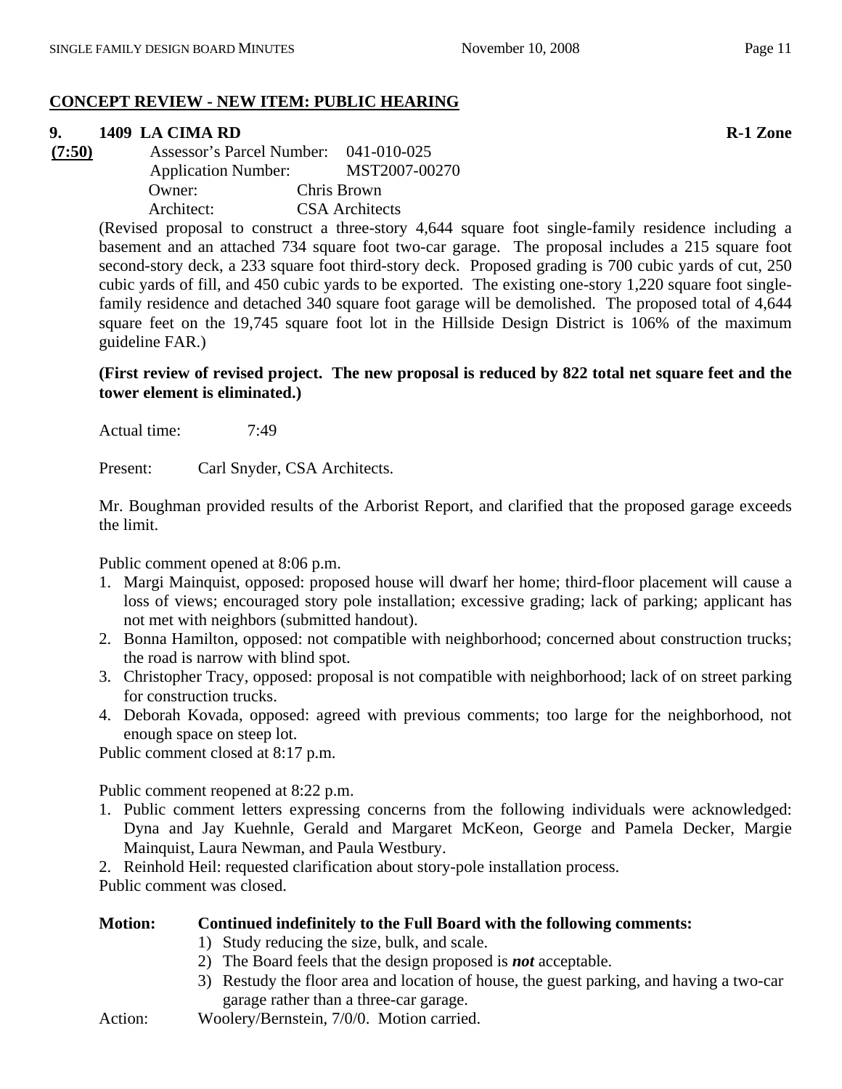# **CONCEPT REVIEW - NEW ITEM: PUBLIC HEARING**

# **9. 1409 LA CIMA RD R-1 Zone**

**(7:50)** Assessor's Parcel Number: 041-010-025 Application Number: MST2007-00270 Owner: Chris Brown Architect: CSA Architects

> (Revised proposal to construct a three-story 4,644 square foot single-family residence including a basement and an attached 734 square foot two-car garage. The proposal includes a 215 square foot second-story deck, a 233 square foot third-story deck. Proposed grading is 700 cubic yards of cut, 250 cubic yards of fill, and 450 cubic yards to be exported. The existing one-story 1,220 square foot singlefamily residence and detached 340 square foot garage will be demolished. The proposed total of 4,644 square feet on the 19,745 square foot lot in the Hillside Design District is 106% of the maximum guideline FAR.)

# **(First review of revised project. The new proposal is reduced by 822 total net square feet and the tower element is eliminated.)**

Actual time: 7:49

Present: Carl Snyder, CSA Architects.

Mr. Boughman provided results of the Arborist Report, and clarified that the proposed garage exceeds the limit.

Public comment opened at 8:06 p.m.

- 1. Margi Mainquist, opposed: proposed house will dwarf her home; third-floor placement will cause a loss of views; encouraged story pole installation; excessive grading; lack of parking; applicant has not met with neighbors (submitted handout).
- 2. Bonna Hamilton, opposed: not compatible with neighborhood; concerned about construction trucks; the road is narrow with blind spot.
- 3. Christopher Tracy, opposed: proposal is not compatible with neighborhood; lack of on street parking for construction trucks.
- 4. Deborah Kovada, opposed: agreed with previous comments; too large for the neighborhood, not enough space on steep lot.

Public comment closed at 8:17 p.m.

Public comment reopened at 8:22 p.m.

- 1. Public comment letters expressing concerns from the following individuals were acknowledged: Dyna and Jay Kuehnle, Gerald and Margaret McKeon, George and Pamela Decker, Margie Mainquist, Laura Newman, and Paula Westbury.
- 2. Reinhold Heil: requested clarification about story-pole installation process.

Public comment was closed.

| <b>Motion:</b> | Continued indefinitely to the Full Board with the following comments:                    |  |  |
|----------------|------------------------------------------------------------------------------------------|--|--|
|                | 1) Study reducing the size, bulk, and scale.                                             |  |  |
|                | 2) The Board feels that the design proposed is <b><i>not</i></b> acceptable.             |  |  |
|                | 3) Restudy the floor area and location of house, the guest parking, and having a two-car |  |  |
|                | garage rather than a three-car garage.                                                   |  |  |
| Action:        | Woolery/Bernstein, 7/0/0. Motion carried.                                                |  |  |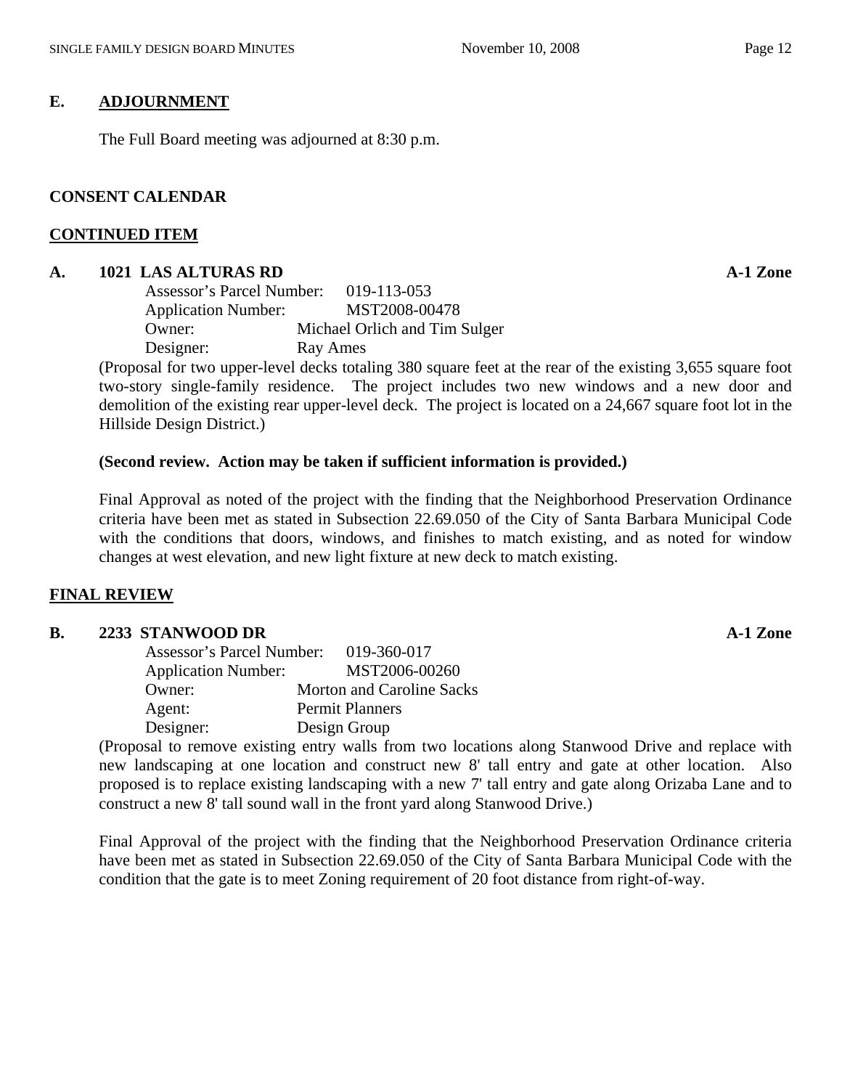# **E. ADJOURNMENT**

The Full Board meeting was adjourned at 8:30 p.m.

## **CONSENT CALENDAR**

#### **CONTINUED ITEM**

## **A. 1021 LAS ALTURAS RD A-1 Zone**

| Assessor's Parcel Number:  | 019-113-053                   |
|----------------------------|-------------------------------|
| <b>Application Number:</b> | MST2008-00478                 |
| Owner:                     | Michael Orlich and Tim Sulger |
| Designer:                  | Ray Ames                      |

(Proposal for two upper-level decks totaling 380 square feet at the rear of the existing 3,655 square foot two-story single-family residence. The project includes two new windows and a new door and demolition of the existing rear upper-level deck. The project is located on a 24,667 square foot lot in the Hillside Design District.)

## **(Second review. Action may be taken if sufficient information is provided.)**

Final Approval as noted of the project with the finding that the Neighborhood Preservation Ordinance criteria have been met as stated in Subsection 22.69.050 of the City of Santa Barbara Municipal Code with the conditions that doors, windows, and finishes to match existing, and as noted for window changes at west elevation, and new light fixture at new deck to match existing.

## **FINAL REVIEW**

## **B. 2233 STANWOOD DR A-1 Zone**

| Assessor's Parcel Number:  | 019-360-017                      |
|----------------------------|----------------------------------|
| <b>Application Number:</b> | MST2006-00260                    |
| Owner:                     | <b>Morton and Caroline Sacks</b> |
| Agent:                     | <b>Permit Planners</b>           |
| Designer:                  | Design Group                     |

(Proposal to remove existing entry walls from two locations along Stanwood Drive and replace with new landscaping at one location and construct new 8' tall entry and gate at other location. Also proposed is to replace existing landscaping with a new 7' tall entry and gate along Orizaba Lane and to construct a new 8' tall sound wall in the front yard along Stanwood Drive.)

Final Approval of the project with the finding that the Neighborhood Preservation Ordinance criteria have been met as stated in Subsection 22.69.050 of the City of Santa Barbara Municipal Code with the condition that the gate is to meet Zoning requirement of 20 foot distance from right-of-way.